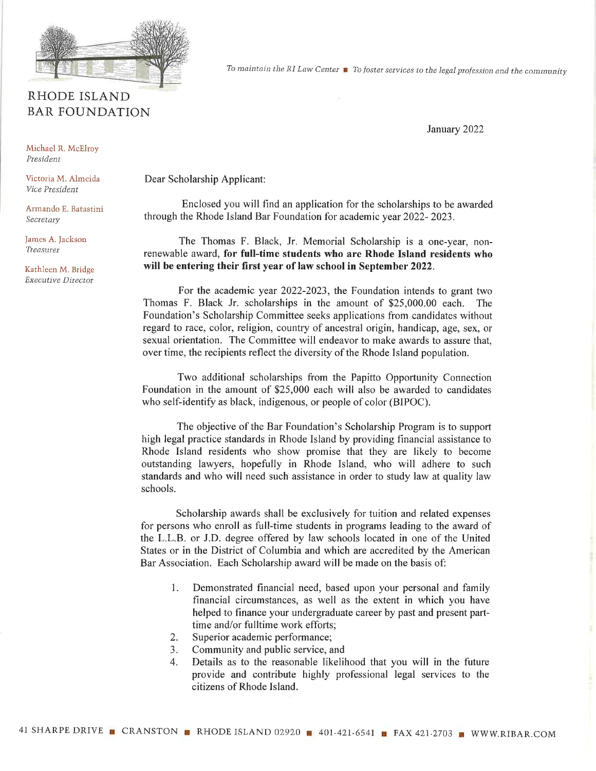

**RHODE ISLAND BAR FOUNDATION**  To maintain the RI Law Center **1** To foster services to the legal profession and the community

January 2022

Michael R. McElroy President

Victoria M. Almeida Vice President

Armando E. Batastini Secretary

James A. Jackson Treasurer

Kathleen M. Bridge Executive Director

Dear Scholarship Applicant:

Enclosed you will find an application for the scholarships to be awarded through the Rhode Island Bar Foundation for academic year 2022-2023.

The Thomas F. Black, Jr. Memorial Scholarship is a one-year, nonrenewable award, for full-time students who are Rhode Island residents who will be entering their first year of law school in September 2022.

For the academic year 2022-2023, the Foundation intends to grant two Thomas F. Black Jr. scholarships in the amount of \$25,000.00 each. The Foundation's Scholarship Committee seeks applications from candidates without regard to race, color, religion, country of ancestral origin, handicap, age, sex, or sexual orientation. The Committee will endeavor to make awards to assure that, over time, the recipients reflect the diversity of the Rhode Island population.

Two additional scholarships from the Papitto Opportunity Connection Foundation in the amount of \$25,000 each will also be awarded to candidates who self-identify as black, indigenous, or people of color (BIPOC).

The objective of the Bar Foundation's Scholarship Program is to support high legal practice standards in Rhode Island by providing financial assistance to Rhode Island residents who show promise that they are likely to become outstanding lawyers, hopefully in Rhode Island, who will adhere to such standards and who will need such assistance in order to study law at quality law schools.

Scholarship awards shall be exclusively for tuition and related expenses for persons who enroll as full-time students in programs leading to the award of the L.L.B. or J.D. degree offered by law schools located in one of the United States or in the District of Columbia and which are accredited by the American Bar Association. Each Scholarship award will be made on the basis of:

- $1.$ Demonstrated financial need, based upon your personal and family financial circumstances, as well as the extent in which you have helped to finance your undergraduate career by past and present parttime and/or fulltime work efforts;
- Superior academic performance;  $2.$
- Community and public service, and  $3.$
- Details as to the reasonable likelihood that you will in the future  $\overline{4}$ provide and contribute highly professional legal services to the citizens of Rhode Island.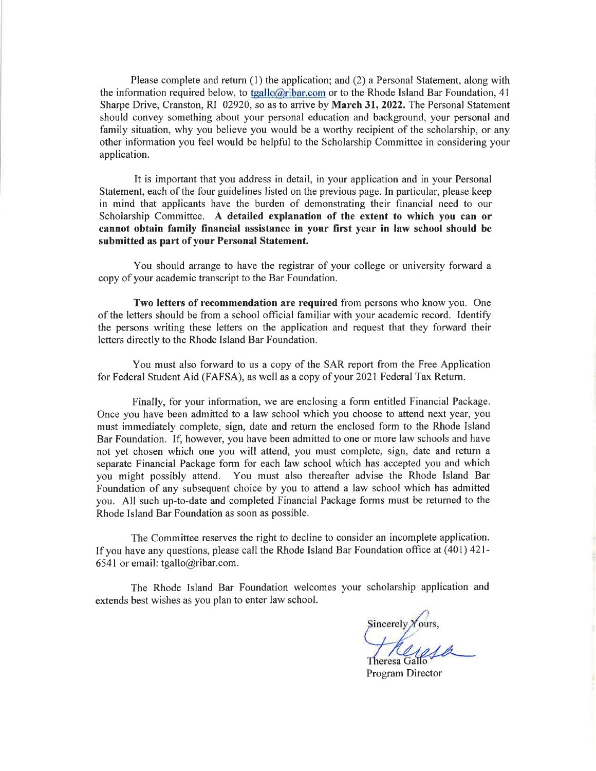Please complete and return (1) the application; and (2) a Personal Statement, along with the information required below, to tgallo@ribar.com or to the Rhode Island Bar Foundation, 41 Sharpe Drive, Cranston, RI 02920, so as to arrive by March 31, 2022. The Personal Statement should convey something about your personal education and background, your personal and family situation, why you believe you would be a worthy recipient of the scholarship, or any other information you feel would be helpful to the Scholarship Committee in considering your application.

It is important that you address in detail, in your application and in your Personal Statement, each of the four guidelines listed on the previous page. In particular, please keep in mind that applicants have the burden of demonstrating their financial need to our Scholarship Committee. A detailed explanation of the extent to which you can or cannot obtain family financial assistance in your first year in law school should be submitted as part of your Personal Statement.

You should arrange to have the registrar of your college or university forward a copy of your academic transcript to the Bar Foundation.

Two letters of recommendation are required from persons who know you. One of the letters should be from a school official familiar with your academic record. Identify the persons writing these letters on the application and request that they forward their letters directly to the Rhode Island Bar Foundation.

You must also forward to us a copy of the SAR report from the Free Application for Federal Student Aid (FAFSA), as well as a copy of your 2021 Federal Tax Return.

Finally, for your information, we are enclosing a form entitled Financial Package. Once you have been admitted to a law school which you choose to attend next year, you must immediately complete, sign, date and return the enclosed form to the Rhode Island Bar Foundation. If, however, you have been admitted to one or more law schools and have not yet chosen which one you will attend, you must complete, sign, date and return a separate Financial Package form for each law school which has accepted you and which you might possibly attend. You must also thereafter advise the Rhode Island Bar Foundation of any subsequent choice by you to attend a law school which has admitted you. All such up-to-date and completed Financial Package forms must be returned to the Rhode Island Bar Foundation as soon as possible.

The Committee reserves the right to decline to consider an incomplete application. If you have any questions, please call the Rhode Island Bar Foundation office at (401) 421-6541 or email: tgallo@ribar.com.

The Rhode Island Bar Foundation welcomes your scholarship application and extends best wishes as you plan to enter law school.

sincerely Yours,<br>Harena

Program Director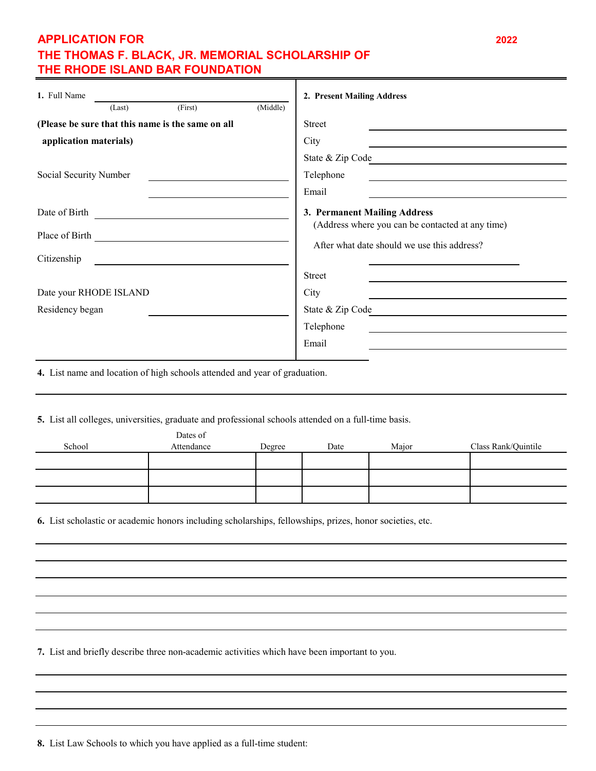# **APPLICATION FOR 2022 THE THOMAS F. BLACK, JR. MEMORIAL SCHOLARSHIP OF THE RHODE ISLAND BAR FOUNDATION**

| 1. Full Name                                      | 2. Present Mailing Address                                                                                                      |  |  |
|---------------------------------------------------|---------------------------------------------------------------------------------------------------------------------------------|--|--|
| (Middle)<br>(First)<br>(Last)                     |                                                                                                                                 |  |  |
| (Please be sure that this name is the same on all | <b>Street</b>                                                                                                                   |  |  |
| application materials)                            | City                                                                                                                            |  |  |
|                                                   | State & Zip Code                                                                                                                |  |  |
| Social Security Number                            | Telephone                                                                                                                       |  |  |
|                                                   | Email                                                                                                                           |  |  |
| Date of Birth<br>Place of Birth                   | 3. Permanent Mailing Address<br>(Address where you can be contacted at any time)<br>After what date should we use this address? |  |  |
| Citizenship                                       |                                                                                                                                 |  |  |
|                                                   | <b>Street</b>                                                                                                                   |  |  |
| Date your RHODE ISLAND                            | City                                                                                                                            |  |  |
| Residency began                                   | State & Zip Code                                                                                                                |  |  |
|                                                   | Telephone                                                                                                                       |  |  |
|                                                   | Email                                                                                                                           |  |  |
|                                                   |                                                                                                                                 |  |  |

T

**4.** List name and location of high schools attended and year of graduation.

**5.** List all colleges, universities, graduate and professional schools attended on a full-time basis.

|        | Dates of   |        |      |       |                     |
|--------|------------|--------|------|-------|---------------------|
| School | Attendance | Degree | Date | Major | Class Rank/Quintile |
|        |            |        |      |       |                     |
|        |            |        |      |       |                     |
|        |            |        |      |       |                     |
|        |            |        |      |       |                     |
|        |            |        |      |       |                     |

**6.** List scholastic or academic honors including scholarships, fellowships, prizes, honor societies, etc.

**7.** List and briefly describe three non-academic activities which have been important to you.

**8.** List Law Schools to which you have applied as a full-time student: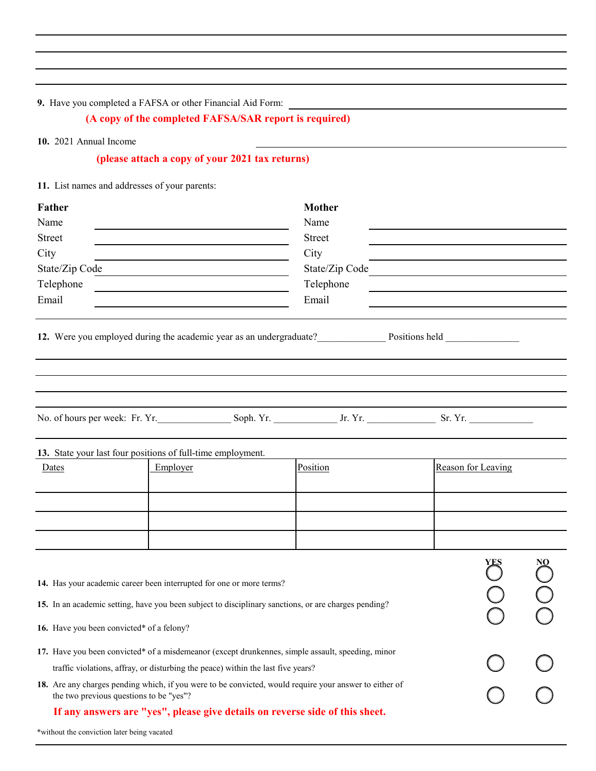**9.** Have you completed a FAFSA or other Financial Aid Form:

#### **(A copy of the completed FAFSA/SAR report is required)**

#### **10.** 2021 Annual Income

## **(please attach a copy of your 2021 tax returns)**

**11.** List names and addresses of your parents:

| 11. List names and addresses of your parents.                                                                                                                                                                                                                                   |          |  |                |                    |    |
|---------------------------------------------------------------------------------------------------------------------------------------------------------------------------------------------------------------------------------------------------------------------------------|----------|--|----------------|--------------------|----|
| Father                                                                                                                                                                                                                                                                          |          |  | Mother         |                    |    |
| Name                                                                                                                                                                                                                                                                            |          |  | Name           |                    |    |
| <b>Street</b>                                                                                                                                                                                                                                                                   |          |  | <b>Street</b>  |                    |    |
| City                                                                                                                                                                                                                                                                            |          |  | City           |                    |    |
| State/Zip Code                                                                                                                                                                                                                                                                  |          |  | State/Zip Code |                    |    |
| Telephone                                                                                                                                                                                                                                                                       |          |  | Telephone      |                    |    |
| Email                                                                                                                                                                                                                                                                           |          |  | Email          |                    |    |
|                                                                                                                                                                                                                                                                                 |          |  |                |                    |    |
|                                                                                                                                                                                                                                                                                 |          |  |                |                    |    |
|                                                                                                                                                                                                                                                                                 |          |  |                |                    |    |
| No. of hours per week: Fr. Yr. Soph. Yr. Soph. Yr. Jr. Yr. Sr. Yr. Sr. Yr.                                                                                                                                                                                                      |          |  |                |                    |    |
| 13. State your last four positions of full-time employment.                                                                                                                                                                                                                     |          |  |                |                    |    |
| Dates                                                                                                                                                                                                                                                                           | Employer |  | Position       | Reason for Leaving |    |
|                                                                                                                                                                                                                                                                                 |          |  |                |                    |    |
|                                                                                                                                                                                                                                                                                 |          |  |                |                    |    |
|                                                                                                                                                                                                                                                                                 |          |  |                |                    |    |
| 14. Has your academic career been interrupted for one or more terms?<br>15. In an academic setting, have you been subject to disciplinary sanctions, or are charges pending?<br>16. Have you been convicted* of a felony?                                                       |          |  |                |                    | NO |
| 17. Have you been convicted* of a misdemeanor (except drunkennes, simple assault, speeding, minor                                                                                                                                                                               |          |  |                |                    |    |
| traffic violations, affray, or disturbing the peace) within the last five years?                                                                                                                                                                                                |          |  |                |                    |    |
| $\begin{array}{c} 0 \\ 0 \\ 0 \end{array}$<br>18. Are any charges pending which, if you were to be convicted, would require your answer to either of<br>the two previous questions to be "yes"?<br>If any answers are "yes", please give details on reverse side of this sheet. |          |  |                |                    |    |

\*without the conviction later being vacated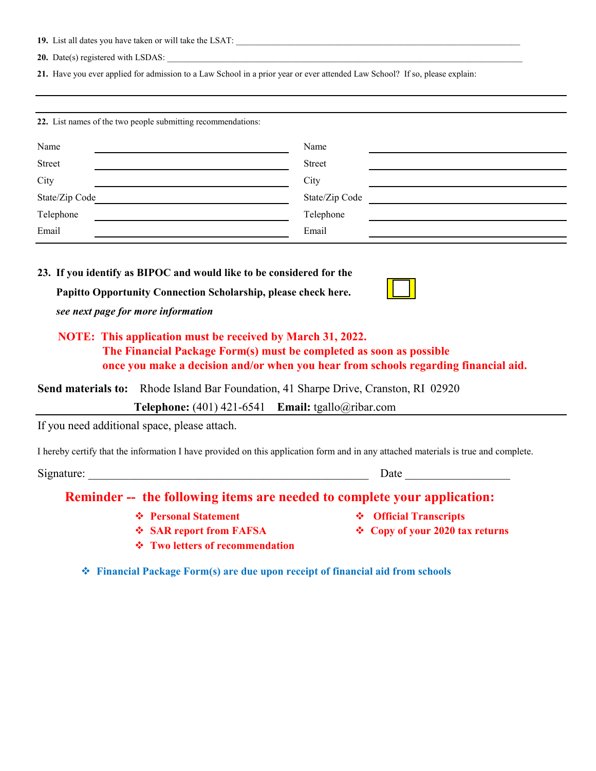**19.** List all dates you have taken or will take the LSAT:

**20.** Date(s) registered with LSDAS:

**21.** Have you ever applied for admission to a Law School in a prior year or ever attended Law School? If so, please explain:

| 22. List names of the two people submitting recommendations: |                |  |  |
|--------------------------------------------------------------|----------------|--|--|
| Name                                                         | Name           |  |  |
| Street                                                       | Street         |  |  |
| City                                                         | City           |  |  |
| State/Zip Code                                               | State/Zip Code |  |  |
| Telephone                                                    | Telephone      |  |  |
| Email                                                        | Email          |  |  |
|                                                              |                |  |  |

**23. If you identify as BIPOC and would like to be considered for the**

 **Papitto Opportunity Connection Scholarship, please check here.**

 *see next page for more information*

## **NOTE: This application must be received by March 31, 2022. The Financial Package Form(s) must be completed as soon as possible once you make a decision and/or when you hear from schools regarding financial aid.**

**Send materials to:** Rhode Island Bar Foundation, 41 Sharpe Drive, Cranston, RI 02920

 **Telephone:** (401) 421-6541 **Email:** tgallo@ribar.com

If you need additional space, please attach.

I hereby certify that the information I have provided on this application form and in any attached materials is true and complete.

Signature: \_\_\_\_\_\_\_\_\_\_\_\_\_\_\_\_\_\_\_\_\_\_\_\_\_\_\_\_\_\_\_\_\_\_\_\_\_\_\_\_\_\_\_\_\_\_\_\_ Date \_\_\_\_\_\_\_\_\_\_\_\_\_\_\_\_\_\_

## **Reminder -- the following items are needed to complete your application:**

- ◆ Personal Statement **◆ Official Transcripts** 
	-
- ◆ SAR report from FAFSA <br>◆ Copy of your 2020 tax returns
- **Two letters of recommendation**
- 
- **Financial Package Form(s) are due upon receipt of financial aid from schools**